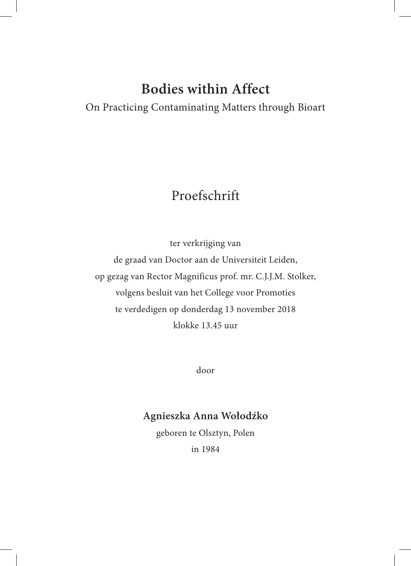## **Bodies within Affect**

On Practicing Contaminating Matters through Bioart

## Proefschrift

ter verkrijging van de graad van Doctor aan de Universiteit Leiden, op gezag van Rector Magnificus prof. mr. C.J.J.M. Stolker, volgens besluit van het College voor Promoties te verdedigen op donderdag 13 november 2018 klokke 13.45 uur

door

## **Agnieszka Anna Wołodźko**

geboren te Olsztyn, Polen

in 1984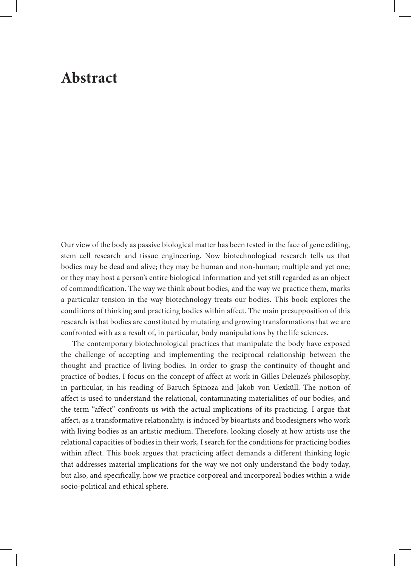## **Abstract**

Our view of the body as passive biological matter has been tested in the face of gene editing, stem cell research and tissue engineering. Now biotechnological research tells us that bodies may be dead and alive; they may be human and non-human; multiple and yet one; or they may host a person's entire biological information and yet still regarded as an object of commodification. The way we think about bodies, and the way we practice them, marks a particular tension in the way biotechnology treats our bodies. This book explores the conditions of thinking and practicing bodies within affect. The main presupposition of this research is that bodies are constituted by mutating and growing transformations that we are confronted with as a result of, in particular, body manipulations by the life sciences.

 The contemporary biotechnological practices that manipulate the body have exposed the challenge of accepting and implementing the reciprocal relationship between the thought and practice of living bodies. In order to grasp the continuity of thought and practice of bodies, I focus on the concept of affect at work in Gilles Deleuze's philosophy, in particular, in his reading of Baruch Spinoza and Jakob von Uexküll. The notion of affect is used to understand the relational, contaminating materialities of our bodies, and the term "affect" confronts us with the actual implications of its practicing. I argue that affect, as a transformative relationality, is induced by bioartists and biodesigners who work with living bodies as an artistic medium. Therefore, looking closely at how artists use the relational capacities of bodies in their work, I search for the conditions for practicing bodies within affect. This book argues that practicing affect demands a different thinking logic that addresses material implications for the way we not only understand the body today, but also, and specifically, how we practice corporeal and incorporeal bodies within a wide socio-political and ethical sphere.